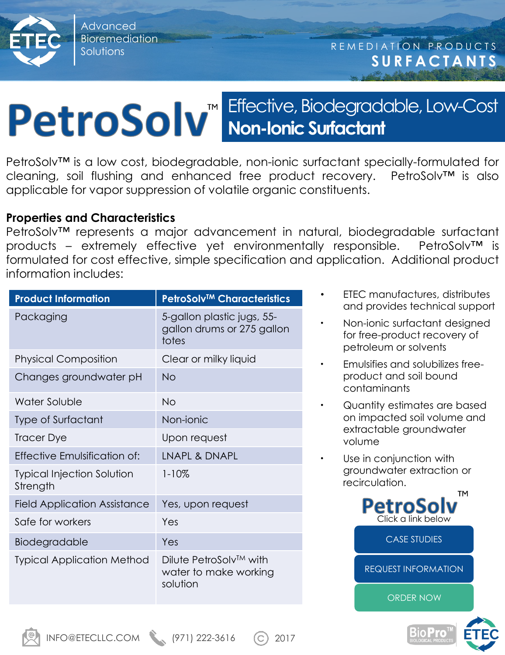Advanced Bioremediation

# Effective, Biodegradable, Low-Cost PetroSolv<sup>"</sup> Effective, Biodegradd

PetroSolv™ is a low cost, biodegradable, non-ionic surfactant specially-formulated for cleaning, soil flushing and enhanced free product recovery. PetroSolv™ is also applicable for vapor suppression of volatile organic constituents.

#### **Properties and Characteristics**

PetroSolv™ represents a major advancement in natural, biodegradable surfactant products – extremely effective yet environmentally responsible. PetroSolv™ is formulated for cost effective, simple specification and application. Additional product information includes:

| <b>Product Information</b>                    | <b>PetroSolv™ Characteristics</b>                                 |
|-----------------------------------------------|-------------------------------------------------------------------|
| Packaging                                     | 5-gallon plastic jugs, 55-<br>gallon drums or 275 gallon<br>totes |
| <b>Physical Composition</b>                   | Clear or milky liquid                                             |
| Changes groundwater pH                        | <b>No</b>                                                         |
| Water Soluble                                 | No                                                                |
| Type of Surfactant                            | Non-ionic                                                         |
| <b>Tracer Dye</b>                             | Upon request                                                      |
| Effective Emulsification of:                  | LNAPL & DNAPL                                                     |
| <b>Typical Injection Solution</b><br>Strength | $1 - 10\%$                                                        |
| <b>Field Application Assistance</b>           | Yes, upon request                                                 |
| Safe for workers                              | Yes                                                               |
| Biodegradable                                 | Yes                                                               |
| <b>Typical Application Method</b>             | Dilute PetroSolv™ with<br>water to make working<br>solution       |

- ETEC manufactures, distributes and provides technical support
- Non-ionic surfactant designed for free-product recovery of petroleum or solvents
- Emulsifies and solubilizes freeproduct and soil bound contaminants
- Quantity estimates are based on impacted soil volume and extractable groundwater volume
- Use in conjunction with groundwater extraction or recirculation.